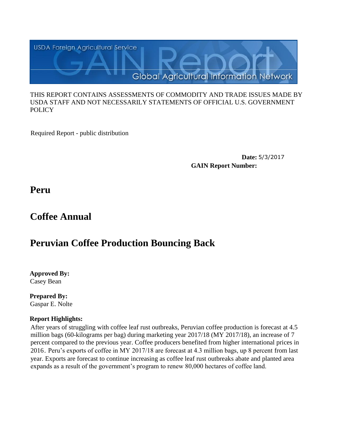

#### THIS REPORT CONTAINS ASSESSMENTS OF COMMODITY AND TRADE ISSUES MADE BY USDA STAFF AND NOT NECESSARILY STATEMENTS OF OFFICIAL U.S. GOVERNMENT **POLICY**

Required Report - public distribution

**Date:** 5/3/2017 **GAIN Report Number:**

**Peru**

# **Coffee Annual**

# **Peruvian Coffee Production Bouncing Back**

**Approved By:**  Casey Bean

**Prepared By:**  Gaspar E. Nolte

## **Report Highlights:**

After years of struggling with coffee leaf rust outbreaks, Peruvian coffee production is forecast at 4.5 million bags (60-kilograms per bag) during marketing year 2017/18 (MY 2017/18), an increase of 7 percent compared to the previous year. Coffee producers benefited from higher international prices in 2016. Peru's exports of coffee in MY 2017/18 are forecast at 4.3 million bags, up 8 percent from last year. Exports are forecast to continue increasing as coffee leaf rust outbreaks abate and planted area expands as a result of the government's program to renew 80,000 hectares of coffee land.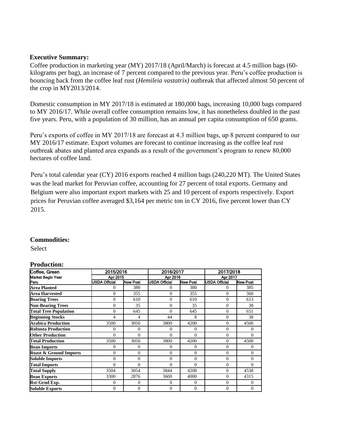#### **Executive Summary:**

Coffee production in marketing year (MY) 2017/18 (April/March) is forecast at 4.5 million bags (60 kilograms per bag), an increase of 7 percent compared to the previous year. Peru's coffee production is bouncing back from the coffee leaf rust (*Hemileia vastatrix)* outbreak that affected almost 50 percent of the crop in MY2013/2014.

Domestic consumption in MY 2017/18 is estimated at 180,000 bags, increasing 10,000 bags compared to MY 2016/17. While overall coffee consumption remains low, it has nonetheless doubled in the past five years. Peru, with a population of 30 million, has an annual per capita consumption of 650 grams.

Peru's exports of coffee in MY 2017/18 are forecast at 4.3 million bags, up 8 percent compared to our MY 2016/17 estimate. Export volumes are forecast to continue increasing as the coffee leaf rust outbreak abates and planted area expands as a result of the government's program to renew 80,000 hectares of coffee land.

Peru's total calendar year (CY) 2016 exports reached 4 million bags (240,220 MT). The United States was the lead market for Peruvian coffee, accounting for 27 percent of total exports. Germany and Belgium were also important export markets with 25 and 10 percent of exports respectively. Export prices for Peruvian coffee averaged \$3,164 per metric ton in CY 2016, five percent lower than CY 2015.

#### **Commodities:**

Select

### **Production:**

| Coffee, Green                     | 2015/2016            |                 | 2016/2017            |                 | 2017/2018<br>Apr 2017 |                 |  |
|-----------------------------------|----------------------|-----------------|----------------------|-----------------|-----------------------|-----------------|--|
| <b>Market Begin Year</b>          | Apr 2015             |                 | Apr 2016             |                 |                       |                 |  |
| Peru                              | <b>USDA Official</b> | <b>New Post</b> | <b>USDA Official</b> | <b>New Post</b> | <b>USDA Official</b>  | <b>New Post</b> |  |
| <b>Area Planted</b>               | 0                    | 380             | $\mathbf{0}$         | 380             | $\mathbf{0}$          | 385             |  |
| <b>Area Harvested</b>             | $\Omega$             | 355             | $\theta$             | 355             | $\Omega$              | 360             |  |
| <b>Bearing Trees</b>              | $\Omega$             | 610             | $\theta$             | 610             | $\mathbf{0}$          | 613             |  |
| <b>Non-Bearing Trees</b>          | $\Omega$             | 35              | $\theta$             | 35              | $\mathbf{0}$          | 38              |  |
| <b>Total Tree Population</b>      | $\Omega$             | 645             | $\theta$             | 645             | $\Omega$              | 651             |  |
| <b>Beginning Stocks</b>           | 4                    | 4               | 44                   | 8               | $\mathbf{0}$          | 38              |  |
| <b>Arabica Production</b>         | 3500                 | 3050            | 3800                 | 4200            | $\theta$              | 4500            |  |
| <b>Robusta Production</b>         | $\Omega$             | $\Omega$        | $\theta$             | $\theta$        | $\mathbf{0}$          | 0               |  |
| <b>Other Production</b>           | $\Omega$             | $\Omega$        | $\theta$             | $\theta$        | $\mathbf{0}$          | $\mathbf{0}$    |  |
| <b>Total Production</b>           | 3500                 | 3050            | 3800                 | 4200            | $\Omega$              | 4500            |  |
| <b>Bean Imports</b>               | $\Omega$             | $\Omega$        | $\Omega$             | $\Omega$        | $\mathbf{0}$          | $\mathbf{0}$    |  |
| <b>Roast &amp; Ground Imports</b> | $\overline{0}$       | $\theta$        | $\mathbf{0}$         | $\mathbf{0}$    | $\mathbf{0}$          | $\mathbf{0}$    |  |
| <b>Soluble Imports</b>            | $\Omega$             | $\theta$        | $\theta$             | $\theta$        | $\mathbf{0}$          | $\mathbf{0}$    |  |
| <b>Total Imports</b>              | $\Omega$             | $\Omega$        | $\theta$             | $\theta$        | $\mathbf{0}$          | $\Omega$        |  |
| <b>Total Supply</b>               | 3504                 | 3054            | 3844                 | 4208            | $\mathbf{0}$          | 4538            |  |
| <b>Bean Exports</b>               | 3300                 | 2876            | 3600                 | 4000            | $\mathbf{0}$          | 4315            |  |
| Rst-Grnd Exp.                     | $\theta$             | $\theta$        | $\mathbf{0}$         | 0               | $\mathbf{0}$          | $\mathbf{0}$    |  |
| <b>Soluble Exports</b>            | $\mathbf{0}$         | $\theta$        | $\overline{0}$       | $\overline{0}$  | $\overline{0}$        | $\mathbf{0}$    |  |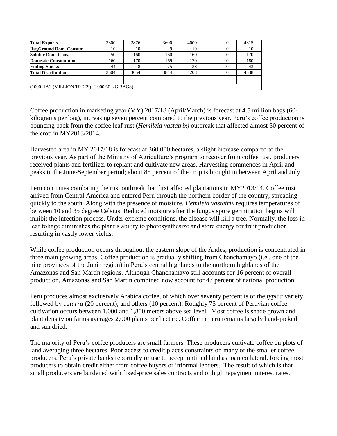| <b>Total Exports</b>                          | 3300 | 2876 | 3600 | 4000 |  | 4315 |  |  |  |
|-----------------------------------------------|------|------|------|------|--|------|--|--|--|
| <b>Rst, Ground Dom. Consum</b>                | 10   | 10   |      | 10   |  | 10   |  |  |  |
| <b>Soluble Dom. Cons.</b>                     | 150  | 160  | 160  | 160  |  | 170  |  |  |  |
| <b>Domestic Consumption</b>                   | 160  | 170  | 169  | 170  |  | 180  |  |  |  |
| <b>Ending Stocks</b>                          | 44   |      | 75   | 38   |  | 43   |  |  |  |
| <b>Total Distribution</b>                     | 3504 | 3054 | 3844 | 4208 |  | 4538 |  |  |  |
|                                               |      |      |      |      |  |      |  |  |  |
| (1000 HA), (MILLION TREES), (1000 60 KG BAGS) |      |      |      |      |  |      |  |  |  |

Coffee production in marketing year (MY) 2017/18 (April/March) is forecast at 4.5 million bags (60 kilograms per bag), increasing seven percent compared to the previous year. Peru's coffee production is bouncing back from the coffee leaf rust (*Hemileia vastatrix)* outbreak that affected almost 50 percent of the crop in MY2013/2014.

Harvested area in MY 2017/18 is forecast at 360,000 hectares, a slight increase compared to the previous year. As part of the Ministry of Agriculture's program to recover from coffee rust, producers received plants and fertilizer to replant and cultivate new areas. Harvesting commences in April and peaks in the June-September period; about 85 percent of the crop is brought in between April and July.

Peru continues combating the rust outbreak that first affected plantations in MY2013/14. Coffee rust arrived from Central America and entered Peru through the northern border of the country, spreading quickly to the south. Along with the presence of moisture, *Hemileia vastatrix* requires temperatures of between 10 and 35 degree Celsius. Reduced moisture after the fungus spore germination begins will inhibit the infection process. Under extreme conditions, the disease will kill a tree. Normally, the loss in leaf foliage diminishes the plant's ability to photosynthesize and store energy for fruit production, resulting in vastly lower yields.

While coffee production occurs throughout the eastern slope of the Andes, production is concentrated in three main growing areas. Coffee production is gradually shifting from Chanchamayo (i.e., one of the nine provinces of the Junín region) in Peru's central highlands to the northern highlands of the Amazonas and San Martín regions. Although Chanchamayo still accounts for 16 percent of overall production, Amazonas and San Martín combined now account for 47 percent of national production.

Peru produces almost exclusively Arabica coffee, of which over seventy percent is of the *typica* variety followed by *caturra* (20 percent), and others (10 percent). Roughly 75 percent of Peruvian coffee cultivation occurs between 1,000 and 1,800 meters above sea level. Most coffee is shade grown and plant density on farms averages 2,000 plants per hectare. Coffee in Peru remains largely hand-picked and sun dried.

The majority of Peru's coffee producers are small farmers. These producers cultivate coffee on plots of land averaging three hectares. Poor access to credit places constraints on many of the smaller coffee producers. Peru's private banks reportedly refuse to accept untitled land as loan collateral, forcing most producers to obtain credit either from coffee buyers or informal lenders. The result of which is that small producers are burdened with fixed-price sales contracts and or high repayment interest rates.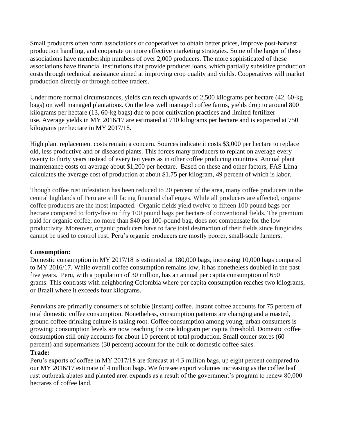Small producers often form associations or cooperatives to obtain better prices, improve post-harvest production handling, and cooperate on more effective marketing strategies. Some of the larger of these associations have membership numbers of over 2,000 producers. The more sophisticated of these associations have financial institutions that provide producer loans, which partially subsidize production costs through technical assistance aimed at improving crop quality and yields. Cooperatives will market production directly or through coffee traders.

Under more normal circumstances, yields can reach upwards of 2,500 kilograms per hectare (42, 60-kg bags) on well managed plantations. On the less well managed coffee farms, yields drop to around 800 kilograms per hectare (13, 60-kg bags) due to poor cultivation practices and limited fertilizer use. Average yields in MY 2016/17 are estimated at 710 kilograms per hectare and is expected at 750 kilograms per hectare in MY 2017/18.

High plant replacement costs remain a concern. Sources indicate it costs \$3,000 per hectare to replace old, less productive and or diseased plants. This forces many producers to replant on average every twenty to thirty years instead of every ten years as in other coffee producing countries. Annual plant maintenance costs on average about \$1,200 per hectare. Based on these and other factors, FAS Lima calculates the average cost of production at about \$1.75 per kilogram, 49 percent of which is labor.

Though coffee rust infestation has been reduced to 20 percent of the area, many coffee producers in the central highlands of Peru are still facing financial challenges. While all producers are affected, organic coffee producers are the most impacted. Organic fields yield twelve to fifteen 100 pound bags per hectare compared to forty-five to fifty 100 pound bags per hectare of conventional fields. The premium paid for organic coffee, no more than \$40 per 100-pound bag, does not compensate for the low productivity. Moreover, organic producers have to face total destruction of their fields since fungicides cannot be used to control rust. Peru's organic producers are mostly poorer, small-scale farmers.

#### **Consumption:**

Domestic consumption in MY 2017/18 is estimated at 180,000 bags, increasing 10,000 bags compared to MY 2016/17. While overall coffee consumption remains low, it has nonetheless doubled in the past five years. Peru, with a population of 30 million, has an annual per capita consumption of 650 grams. This contrasts with neighboring Colombia where per capita consumption reaches two kilograms, or Brazil where it exceeds four kilograms.

Peruvians are primarily consumers of soluble (instant) coffee. Instant coffee accounts for 75 percent of total domestic coffee consumption. Nonetheless, consumption patterns are changing and a roasted, ground coffee drinking culture is taking root. Coffee consumption among young, urban consumers is growing; consumption levels are now reaching the one kilogram per capita threshold. Domestic coffee consumption still only accounts for about 10 percent of total production. Small corner stores (60 percent) and supermarkets (30 percent) account for the bulk of domestic coffee sales.

### **Trade:**

Peru's exports of coffee in MY 2017/18 are forecast at 4.3 million bags, up eight percent compared to our MY 2016/17 estimate of 4 million bags. We foresee export volumes increasing as the coffee leaf rust outbreak abates and planted area expands as a result of the government's program to renew 80,000 hectares of coffee land.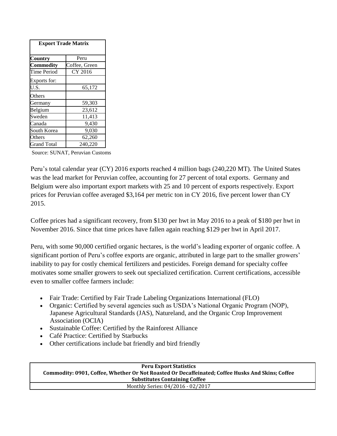| <b>Export Trade Matrix</b> |               |  |  |  |  |  |  |
|----------------------------|---------------|--|--|--|--|--|--|
| <b>Country</b>             | Peru          |  |  |  |  |  |  |
| <b>Commodity</b>           | Coffee, Green |  |  |  |  |  |  |
| Time Period                | CY 2016       |  |  |  |  |  |  |
| Exports for:               |               |  |  |  |  |  |  |
| U.S.                       | 65,172        |  |  |  |  |  |  |
| Others                     |               |  |  |  |  |  |  |
| Germany                    | 59,303        |  |  |  |  |  |  |
| Belgium                    | 23,612        |  |  |  |  |  |  |
| Sweden                     | 11,413        |  |  |  |  |  |  |
| Canada                     | 9,430         |  |  |  |  |  |  |
| South Korea                | 9,030         |  |  |  |  |  |  |
| Others                     | 62,260        |  |  |  |  |  |  |
| <b>Grand Total</b>         | 240.220       |  |  |  |  |  |  |

Source: SUNAT, Peruvian Customs

Peru's total calendar year (CY) 2016 exports reached 4 million bags (240,220 MT). The United States was the lead market for Peruvian coffee, accounting for 27 percent of total exports. Germany and Belgium were also important export markets with 25 and 10 percent of exports respectively. Export prices for Peruvian coffee averaged \$3,164 per metric ton in CY 2016, five percent lower than CY 2015.

Coffee prices had a significant recovery, from \$130 per hwt in May 2016 to a peak of \$180 per hwt in November 2016. Since that time prices have fallen again reaching \$129 per hwt in April 2017.

Peru, with some 90,000 certified organic hectares, is the world's leading exporter of organic coffee. A significant portion of Peru's coffee exports are organic, attributed in large part to the smaller growers' inability to pay for costly chemical fertilizers and pesticides. Foreign demand for specialty coffee motivates some smaller growers to seek out specialized certification. Current certifications, accessible even to smaller coffee farmers include:

- Fair Trade: Certified by Fair Trade Labeling Organizations International (FLO)
- Organic: Certified by several agencies such as USDA's National Organic Program (NOP), Japanese Agricultural Standards (JAS), Natureland, and the Organic Crop Improvement Association (OCIA)
- Sustainable Coffee: Certified by the Rainforest Alliance
- Café Practice: Certified by Starbucks
- Other certifications include bat friendly and bird friendly

**Peru Export Statistics Commodity: 0901, Coffee, Whether Or Not Roasted Or Decaffeinated; Coffee Husks And Skins; Coffee Substitutes Containing Coffee** Monthly Series: 04/2016 - 02/2017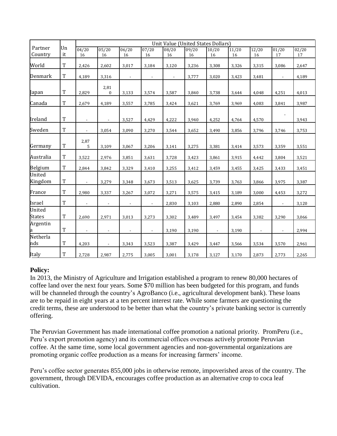|                         |             |                          | Unit Value (United States Dollars) |                          |                          |             |             |                |             |                          |                          |             |
|-------------------------|-------------|--------------------------|------------------------------------|--------------------------|--------------------------|-------------|-------------|----------------|-------------|--------------------------|--------------------------|-------------|
| Partner<br>Country      | Un<br>it    | 04/20<br>16              | 05/20<br>16                        | 06/20<br>16              | 07/20<br>16              | 08/20<br>16 | 09/20<br>16 | 10/20<br>16    | 11/20<br>16 | 12/20<br>16              | 01/20<br>17              | 02/20<br>17 |
| World                   | $\mathbf T$ | 2,426                    | 2,602                              | 3,017                    | 3,184                    | 3,120       | 3,236       | 3,308          | 3,326       | 3,315                    | 3,086                    | 2,647       |
| Denmark                 | T           | 4,189                    | 3,316                              | $\overline{\phantom{a}}$ | $\overline{\phantom{a}}$ |             | 3,777       | 3,020          | 3,423       | 3,481                    | $\overline{\phantom{a}}$ | 4,189       |
| Japan                   | T           | 2,829                    | 2,81<br>$\boldsymbol{0}$           | 3,133                    | 3,574                    | 3,587       | 3,840       | 3,738          | 3,644       | 4,048                    | 4,251                    | 4,013       |
| Canada                  | $\mathbf T$ | 2,679                    | 4,189                              | 3,557                    | 3,785                    | 3,424       | 3,621       | 3,769          | 3,969       | 4,083                    | 3,841                    | 3,987       |
| Ireland                 | $\rm T$     | $\overline{\phantom{a}}$ |                                    | 3,527                    | 4,429                    | 4,222       | 3,940       | 4,252          | 4,764       | 4,570                    |                          | 3,943       |
| Sweden                  | $\rm T$     | $\overline{\phantom{a}}$ | 3,054                              | 3,090                    | 3,270                    | 3,544       | 3,652       | 3,490          | 3,856       | 3,796                    | 3,746                    | 3,753       |
| Germany                 | T           | 2,87<br>5                | 3,109                              | 3,067                    | 3,206                    | 3,141       | 3,275       | 3,381          | 3,414       | 3,573                    | 3,359                    | 3,551       |
| Australia               | T           | 3,522                    | 2,976                              | 3,851                    | 3,631                    | 3,728       | 3,423       | 3,861          | 3,915       | 4,442                    | 3,804                    | 3,521       |
| Belgium                 | $\mathbf T$ | 2,844                    | 3,842                              | 3,329                    | 3,410                    | 3,255       | 3,412       | 3,459          | 3,455       | 3,425                    | 3,433                    | 3,451       |
| United<br>Kingdom       | T           | $\overline{\phantom{a}}$ | 3,279                              | 3,348                    | 3,673                    | 3,513       | 3,625       | 3,739          | 3,763       | 3,866                    | 3,975                    | 3,387       |
| France                  | $\mathbf T$ | 2,980                    | 3,337                              | 3,267                    | 3,072                    | 3,271       | 3,575       | 3,415          | 3,189       | 3,000                    | 4,453                    | 3,272       |
| Israel                  | $\mathbf T$ | $\overline{\phantom{a}}$ | $\overline{\phantom{a}}$           | $\overline{\phantom{a}}$ | $\overline{\phantom{a}}$ | 2,830       | 3,103       | 2,880          | 2,890       | 2,854                    | $\overline{\phantom{a}}$ | 3,120       |
| United<br><b>States</b> | $\rm T$     | 2,690                    | 2,971                              | 3,013                    | 3,273                    | 3,302       | 3,489       | 3,497          | 3,454       | 3,382                    | 3,290                    | 3,066       |
| Argentin<br>a           | $\rm T$     | $\overline{\phantom{a}}$ | $\overline{\phantom{a}}$           | $\overline{\phantom{a}}$ | $\overline{\phantom{a}}$ | 3,190       | 3,190       | $\blacksquare$ | 3,190       | $\overline{\phantom{a}}$ | $\overline{\phantom{a}}$ | 2,994       |
| Netherla<br>nds         | T           | 4,203                    | $\overline{\phantom{a}}$           | 3,343                    | 3,523                    | 3,387       | 3,429       | 3,447          | 3,566       | 3,534                    | 3,570                    | 2,961       |
| Italy                   | $\rm T$     | 2,728                    | 2,987                              | 2,775                    | 3,005                    | 3,001       | 3,178       | 3,127          | 3,170       | 2,873                    | 2,773                    | 2,265       |

## **Policy:**

In 2013, the Ministry of Agriculture and Irrigation established a program to renew 80,000 hectares of coffee land over the next four years. Some \$70 million has been budgeted for this program, and funds will be channeled through the country's AgroBanco (i.e., agricultural development bank). These loans are to be repaid in eight years at a ten percent interest rate. While some farmers are questioning the credit terms, these are understood to be better than what the country's private banking sector is currently offering.

The Peruvian Government has made international coffee promotion a national priority. PromPeru (i.e., Peru's export promotion agency) and its commercial offices overseas actively promote Peruvian coffee. At the same time, some local government agencies and non-governmental organizations are promoting organic coffee production as a means for increasing farmers' income.

Peru's coffee sector generates 855,000 jobs in otherwise remote, impoverished areas of the country. The government, through DEVIDA, encourages coffee production as an alternative crop to coca leaf cultivation.